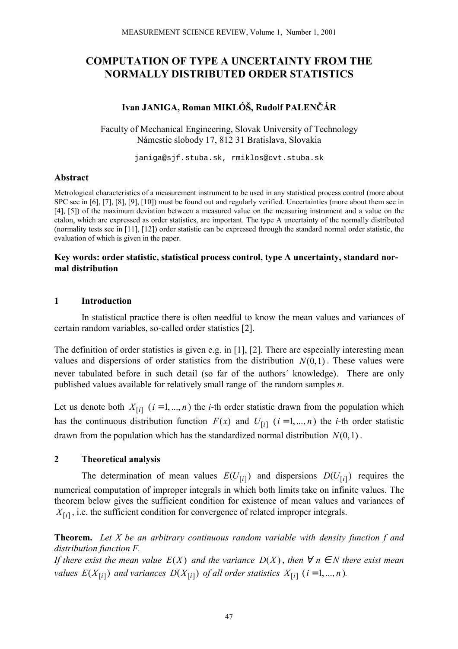# **COMPUTATION OF TYPE A UNCERTAINTY FROM THE NORMALLY DISTRIBUTED ORDER STATISTICS**

# **Ivan JANIGA, Roman MIKLӊ, Rudolf PALENČ£R**

Faculty of Mechanical Engineering, Slovak University of Technology Námestie slobody 17, 812 31 Bratislava, Slovakia

janiga@sjf.stuba.sk, rmiklos@cvt.stuba.sk

#### **Abstract**

Metrological characteristics of a measurement instrument to be used in any statistical process control (more about SPC see in [6], [7], [8], [9], [10]) must be found out and regularly verified. Uncertainties (more about them see in [4], [5]) of the maximum deviation between a measured value on the measuring instrument and a value on the etalon, which are expressed as order statistics, are important. The type A uncertainty of the normally distributed (normality tests see in [11], [12]) order statistic can be expressed through the standard normal order statistic, the evaluation of which is given in the paper.

#### **Key words: order statistic, statistical process control, type A uncertainty, standard normal distribution**

### **1 Introduction**

In statistical practice there is often needful to know the mean values and variances of certain random variables, so-called order statistics [2].

The definition of order statistics is given e.g. in [1], [2]. There are especially interesting mean values and dispersions of order statistics from the distribution  $N(0,1)$ . These values were never tabulated before in such detail (so far of the authors' knowledge). There are only published values available for relatively small range of the random samples *n*.

Let us denote both  $X_{[i]}$  ( $i = 1, ..., n$ ) the *i*-th order statistic drawn from the population which has the continuous distribution function  $F(x)$  and  $U_{[i]}$  ( $i = 1, ..., n$ ) the *i*-th order statistic drawn from the population which has the standardized normal distribution  $N(0, 1)$ .

### **2 Theoretical analysis**

The determination of mean values  $E(U_{[i]})$  and dispersions  $D(U_{[i]})$  requires the numerical computation of improper integrals in which both limits take on infinite values. The theorem below gives the sufficient condition for existence of mean values and variances of  $X_{[i]}$ , i.e. the sufficient condition for convergence of related improper integrals.

**Theorem.** *Let X be an arbitrary continuous random variable with density function f and distribution function F.*

*If there exist the mean value*  $E(X)$  *and the variance*  $D(X)$ *, then*  $\forall n \in N$  *there exist mean values E*( $X_{[i]}$ ) *and variances D*( $X_{[i]}$ ) *of all order statistics*  $X_{[i]}$  (*i* = 1, ..., *n*)*.*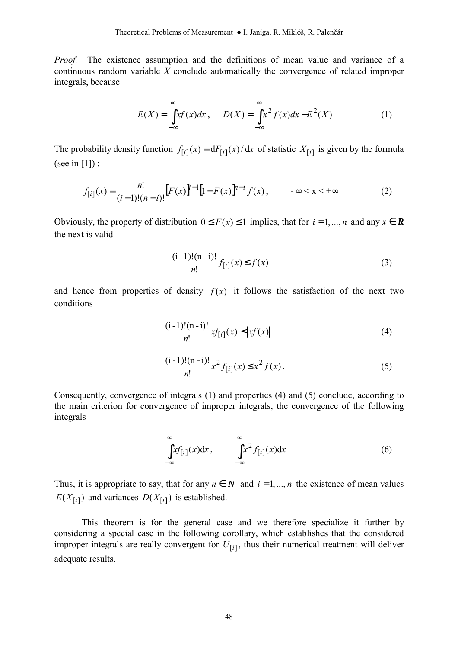*Proof.* The existence assumption and the definitions of mean value and variance of a continuous random variable *X* conclude automatically the convergence of related improper integrals, because

$$
E(X) = \int_{-\infty}^{\infty} xf(x)dx, \qquad D(X) = \int_{-\infty}^{\infty} x^2 f(x)dx - E^2(X)
$$
 (1)

The probability density function  $f_{[i]}(x) = dF_{[i]}(x)/dx$  of statistic  $X_{[i]}$  is given by the formula (see in  $[1]$ ) :

$$
f_{[i]}(x) = \frac{n!}{(i-1)!(n-i)!} [F(x)]^{i-1} [1 - F(x)]^{n-i} f(x), \qquad -\infty < x < +\infty
$$
 (2)

Obviously, the property of distribution  $0 \le F(x) \le 1$  implies, that for  $i = 1, ..., n$  and any  $x \in \mathbb{R}$ the next is valid

$$
\frac{(i-1)!(n-i)!}{n!} f_{[i]}(x) \le f(x)
$$
 (3)

and hence from properties of density  $f(x)$  it follows the satisfaction of the next two conditions

$$
\frac{(i-1)!(n-i)!}{n!}|xf_{[i]}(x)| \le |xf(x)| \tag{4}
$$

$$
\frac{(i-1)!(n-i)!}{n!}x^2 f_{[i]}(x) \le x^2 f(x).
$$
 (5)

Consequently, convergence of integrals (1) and properties (4) and (5) conclude, according to the main criterion for convergence of improper integrals, the convergence of the following integrals

$$
\int_{-\infty}^{\infty} x f_{[i]}(x) dx, \qquad \int_{-\infty}^{\infty} x^2 f_{[i]}(x) dx \tag{6}
$$

Thus, it is appropriate to say, that for any  $n \in N$  and  $i = 1, ..., n$  the existence of mean values  $E(X_{[i]})$  and variances  $D(X_{[i]})$  is established.

This theorem is for the general case and we therefore specialize it further by considering a special case in the following corollary, which establishes that the considered improper integrals are really convergent for  $U_{[i]}$ , thus their numerical treatment will deliver adequate results.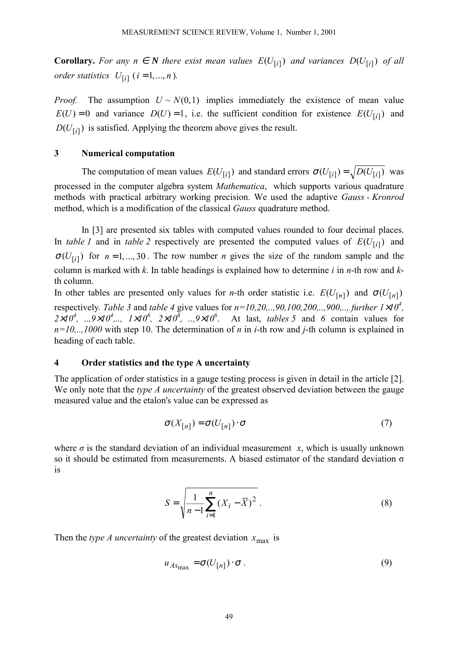**Corollary.** For any  $n \in \mathbb{N}$  there exist mean values  $E(U_{[i]})$  and variances  $D(U_{[i]})$  of all *order statistics*  $U_{[i]}$  ( $i = 1, ..., n$ ).

*Proof.* The assumption  $U \sim N(0, 1)$  implies immediately the existence of mean value  $E(U) = 0$  and variance  $D(U) = 1$ , i.e. the sufficient condition for existence  $E(U_{[i]})$  and  $D(U_{[i]})$  is satisfied. Applying the theorem above gives the result.

#### **3 Numerical computation**

The computation of mean values  $E(U_{[i]})$  and standard errors  $\sigma(U_{[i]}) = \sqrt{D(U_{[i]})}$  was processed in the computer algebra system *Mathematica*, which supports various quadrature methods with practical arbitrary working precision. We used the adaptive *Gauss - Kronrod* method, which is a modification of the classical *Gauss* quadrature method.

In [3] are presented six tables with computed values rounded to four decimal places. In *table 1* and in *table 2* respectively are presented the computed values of  $E(U_{[i]})$  and  $\sigma(U_{[i]})$  for  $n = 1, ..., 30$ . The row number *n* gives the size of the random sample and the column is marked with *k*. In table headings is explained how to determine *i* in *n*-th row and *k*th column.

In other tables are presented only values for *n*-th order statistic i.e.  $E(U_{[n]})$  and  $\sigma(U_{[n]})$ respectively. Table 3 and *table 4* give values for  $n=10, 20, \ldots, 90, 100, 200, \ldots, 900, \ldots$ , further  $1\times10^4$ ,  $2 \times 10^4$ , ..,  $9 \times 10^4$ , ...,  $1 \times 10^6$ ,  $2 \times 10^6$ , ...,  $9 \times 10^6$ . At last, *tables 5* and *6* contain values for *n=10,..,1000* with step 10. The determination of *n* in *i*-th row and *j*-th column is explained in heading of each table.

### **4 Order statistics and the type A uncertainty**

The application of order statistics in a gauge testing process is given in detail in the article [2]. We only note that the *type A uncertainty* of the greatest observed deviation between the gauge measured value and the etalon's value can be expressed as

$$
\sigma(X_{[n]}) = \sigma(U_{[n]}) \cdot \sigma \tag{7}
$$

where  $\sigma$  is the standard deviation of an individual measurement *x*, which is usually unknown so it should be estimated from measurements. A biased estimator of the standard deviation  $\sigma$ is

$$
S = \sqrt{\frac{1}{n-1} \sum_{i=1}^{n} (X_i - \overline{X})^2}
$$
 (8)

Then the *type A uncertainty* of the greatest deviation  $x_{\text{max}}$  is

$$
u_{Ax_{\max}} = \sigma(U_{[n]}) \cdot \sigma. \tag{9}
$$